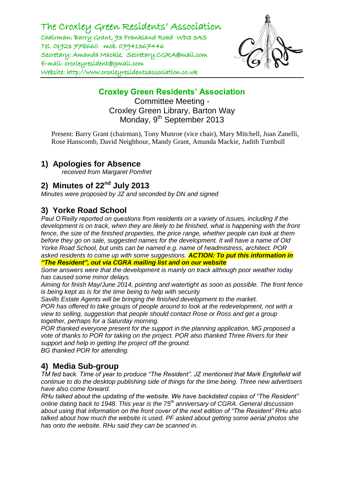The Croxley Green Residents' Association Chairman: Barry Grant, 93 Frankland Road WD3 3AS Tel. 01923 778660 mob. 07941367446 Secretary: Amanda Mackie, Secretary.CGRA@mail.com E-mail: croxleyresident@gmail.com Website: http://www.croxleyresidentsassociation.co.uk



#### **Croxley Green Residents' Association**

Committee Meeting - Croxley Green Library, Barton Way Monday, 9<sup>th</sup> September 2013

Present: Barry Grant (chairman), Tony Munroe (vice chair), Mary Mitchell, Joan Zanelli, Rose Hanscomb, David Neighbour, Mandy Grant, Amanda Mackie, Judith Turnbull

#### **1) Apologies for Absence**

*received from Margaret Pomfret*

# **2) Minutes of 22nd July 2013**

*Minutes were proposed by JZ and seconded by DN and signed*

## **3) Yorke Road School**

*Paul O'Reilly reported on questions from residents on a variety of issues, including if the development is on track, when they are likely to be finished, what is happening with the front fence, the size of the finished properties, the price range, whether people can look at them before they go on sale, suggested names for the development. It will have a name of Old Yorke Road School, but units can be named e.g. name of headmistress, architect. POR asked residents to come up with some suggestions. ACTION: To put this information in* 

#### *"The Resident", out via CGRA mailing list and on our website*

*Some answers were that the development is mainly on track although poor weather today has caused some minor delays.* 

*Aiming for finish May/June 2014, pointing and watertight as soon as possible. The front fence is being kept as is for the time being to help with security*

*Savills Estate Agents will be bringing the finished development to the market.*

*POR has offered to take groups of people around to look at the redevelopment, not with a view to selling, suggestion that people should contact Rose or Ross and get a group together, perhaps for a Saturday morning.* 

*POR thanked everyone present for the support in the planning application. MG proposed a vote of thanks to POR for taking on the project. POR also thanked Three Rivers for their support and help in getting the project off the ground.* 

*BG thanked POR for attending.* 

# **4) Media Sub-group**

*TM fed back. Time of year to produce "The Resident". JZ mentioned that Mark Englefield will continue to do the desktop publishing side of things for the time being. Three new advertisers have also come forward.*

*RHu talked about the updating of the website. We have backdated copies of "The Resident" online dating back to 1948. This year is the 75th anniversary of CGRA. General discussion about using that information on the front cover of the next edition of "The Resident" RHu also talked about how much the website is used. PF asked about getting some aerial photos she has onto the website. RHu said they can be scanned in.*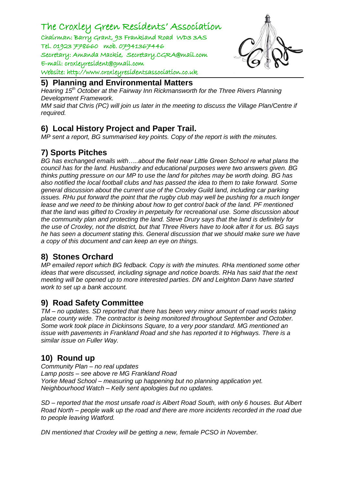The Croxley Green Residents' Association

Chairman: Barry Grant, 93 Frankland Road WD3 3AS Tel. 01923 778660 mob. 07941367446 Secretary: Amanda Mackie, Secretary.CGRA@mail.com E-mail: croxleyresident@gmail.com



#### **5) Planning and Environmental Matters**

*Hearing 15th October at the Fairway Inn Rickmansworth for the Three Rivers Planning Development Framework.* 

*MM said that Chris (PC) will join us later in the meeting to discuss the Village Plan/Centre if required.* 

# **6) Local History Project and Paper Trail.**

*MP sent a report, BG summarised key points. Copy of the report is with the minutes.* 

## **7) Sports Pitches**

*BG has exchanged emails with…..about the field near Little Green School re what plans the council has for the land. Husbandry and educational purposes were two answers given. BG thinks putting pressure on our MP to use the land for pitches may be worth doing. BG has also notified the local football clubs and has passed the idea to them to take forward. Some general discussion about the current use of the Croxley Guild land, including car parking issues. RHu put forward the point that the rugby club may well be pushing for a much longer* lease and we need to be thinking about how to get control back of the land. PF mentioned *that the land was gifted to Croxley in perpetuity for recreational use. Some discussion about the community plan and protecting the land. Steve Drury says that the land is definitely for the use of Croxley, not the district, but that Three Rivers have to look after it for us. BG says he has seen a document stating this. General discussion that we should make sure we have a copy of this document and can keep an eye on things.* 

# **8) Stones Orchard**

*MP emailed report which BG fedback. Copy is with the minutes. RHa mentioned some other ideas that were discussed, including signage and notice boards. RHa has said that the next meeting will be opened up to more interested parties. DN and Leighton Dann have started work to set up a bank account.* 

#### **9) Road Safety Committee**

*TM – no updates. SD reported that there has been very minor amount of road works taking place county wide. The contractor is being monitored throughout September and October. Some work took place in Dickinsons Square, to a very poor standard. MG mentioned an issue with pavements in Frankland Road and she has reported it to Highways. There is a similar issue on Fuller Way.* 

# **10) Round up**

*Community Plan – no real updates Lamp posts – see above re MG Frankland Road Yorke Mead School – measuring up happening but no planning application yet. Neighbourhood Watch – Kelly sent apologies but no updates.* 

*SD – reported that the most unsafe road is Albert Road South, with only 6 houses. But Albert Road North – people walk up the road and there are more incidents recorded in the road due to people leaving Watford.* 

*DN mentioned that Croxley will be getting a new, female PCSO in November.* 

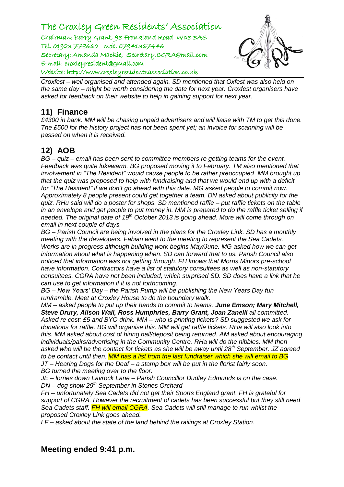# The Croxley Green Residents' Association

Chairman: Barry Grant, 93 Frankland Road WD3 3AS Tel. 01923 778660 mob. 07941367446

Secretary: Amanda Mackie, Secretary.CGRA@mail.com E-mail: croxleyresident@gmail.com

Website: http://www.croxleyresidentsassociation.co.uk



*Croxfest – well organised and attended again. SD mentioned that Oxfest was also held on the same day – might be worth considering the date for next year. Croxfest organisers have asked for feedback on their website to help in gaining support for next year.* 

#### **11) Finance**

*£4300 in bank. MM will be chasing unpaid advertisers and will liaise with TM to get this done. The £500 for the history project has not been spent yet; an invoice for scanning will be passed on when it is received.* 

# **12) AOB**

*BG – quiz – email has been sent to committee members re getting teams for the event. Feedback was quite lukewarm. BG proposed moving it to February. TM also mentioned that involvement in "The Resident" would cause people to be rather preoccupied. MM brought up that the quiz was proposed to help with fundraising and that we would end up with a deficit for "The Resident" if we don't go ahead with this date. MG asked people to commit now. Approximately 8 people present could get together a team. DN asked about publicity for the quiz. RHu said will do a poster for shops. SD mentioned raffle – put raffle tickets on the table*  in an envelope and get people to put money in. MM is prepared to do the raffle ticket selling if *needed. The original date of 19th October 2013 is going ahead. More will come through on email in next couple of days.* 

*BG – Parish Council are being involved in the plans for the Croxley Link. SD has a monthly meeting with the developers. Fabian went to the meeting to represent the Sea Cadets. Works are in progress although building work begins May/June. MG asked how we can get information about what is happening when. SD can forward that to us. Parish Council also noticed that information was not getting through. FH knows that Morris Minors pre-school have information. Contractors have a list of statutory consultees as well as non-statutory consultees. CGRA have not been included, which surprised SD. SD does have a link that he can use to get information if it is not forthcoming.* 

*BG – New Years' Day – the Parish Pump will be publishing the New Years Day fun run/ramble. Meet at Croxley House to do the boundary walk.* 

*MM – asked people to put up their hands to commit to teams. June Emson; Mary Mitchell, Steve Drury, Alison Wall, Ross Humphries, Barry Grant, Joan Zanelli all committed. Asked re cost: £5 and BYO drink. MM – who is printing tickets? SD suggested we ask for donations for raffle. BG will organise this. MM will get raffle tickets. RHa will also look into this. MM asked about cost of hiring hall/deposit being returned. AM asked about encouraging individuals/pairs/advertising in the Community Centre. RHa will do the nibbles. MM then asked who will be the contact for tickets as she will be away until 28th September. JZ agreed to be contact until then. MM has a list from the last fundraiser which she will email to BG JT – Hearing Dogs for the Deaf – a stamp box will be put in the florist fairly soon.*

*BG turned the meeting over to the floor.* 

*JE – lorries down Lavrock Lane – Parish Councillor Dudley Edmunds is on the case. DN – dog show 29th September in Stones Orchard*

*FH – unfortunately Sea Cadets did not get their Sports England grant. FH is grateful for support of CGRA. However the recruitment of cadets has been successful but they still need Sea Cadets staff. FH will email CGRA. Sea Cadets will still manage to run whilst the proposed Croxley Link goes ahead.* 

*LF – asked about the state of the land behind the railings at Croxley Station.* 

**Meeting ended 9:41 p.m.**